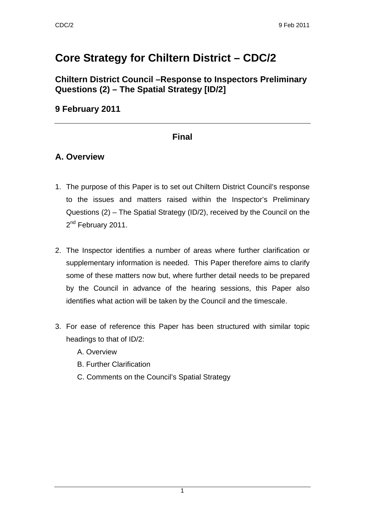# **Core Strategy for Chiltern District – CDC/2**

**Chiltern District Council –Response to Inspectors Preliminary Questions (2) – The Spatial Strategy [ID/2]** 

#### **9 February 2011**

#### **Final**

#### **A. Overview**

- 1. The purpose of this Paper is to set out Chiltern District Council's response to the issues and matters raised within the Inspector's Preliminary Questions (2) – The Spatial Strategy (ID/2), received by the Council on the 2<sup>nd</sup> February 2011.
- 2. The Inspector identifies a number of areas where further clarification or supplementary information is needed. This Paper therefore aims to clarify some of these matters now but, where further detail needs to be prepared by the Council in advance of the hearing sessions, this Paper also identifies what action will be taken by the Council and the timescale.
- 3. For ease of reference this Paper has been structured with similar topic headings to that of ID/2:
	- A. Overview
	- B. Further Clarification
	- C. Comments on the Council's Spatial Strategy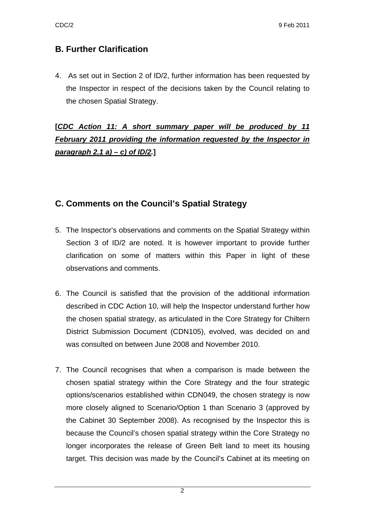## **B. Further Clarification**

4. As set out in Section 2 of ID/2, further information has been requested by the Inspector in respect of the decisions taken by the Council relating to the chosen Spatial Strategy.

# **[***CDC Action 11: A short summary paper will be produced by 11 February 2011 providing the information requested by the Inspector in paragraph 2.1 a) – c) of ID/2.***]**

## **C. Comments on the Council's Spatial Strategy**

- 5. The Inspector's observations and comments on the Spatial Strategy within Section 3 of ID/2 are noted. It is however important to provide further clarification on some of matters within this Paper in light of these observations and comments.
- 6. The Council is satisfied that the provision of the additional information described in CDC Action 10, will help the Inspector understand further how the chosen spatial strategy, as articulated in the Core Strategy for Chiltern District Submission Document (CDN105), evolved, was decided on and was consulted on between June 2008 and November 2010.
- 7. The Council recognises that when a comparison is made between the chosen spatial strategy within the Core Strategy and the four strategic options/scenarios established within CDN049, the chosen strategy is now more closely aligned to Scenario/Option 1 than Scenario 3 (approved by the Cabinet 30 September 2008). As recognised by the Inspector this is because the Council's chosen spatial strategy within the Core Strategy no longer incorporates the release of Green Belt land to meet its housing target. This decision was made by the Council's Cabinet at its meeting on